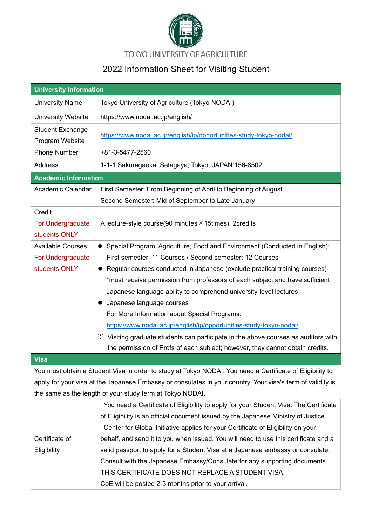

TOKYO UNIVERSITY OF AGRICULTURE

## 2022 Information Sheet for Visiting Student

| <b>University Information</b>                |                                                                                                           |  |  |  |
|----------------------------------------------|-----------------------------------------------------------------------------------------------------------|--|--|--|
| <b>University Name</b>                       | Tokyo University of Agriculture (Tokyo NODAI)                                                             |  |  |  |
| University Website                           | https://www.nodai.ac.jp/english/                                                                          |  |  |  |
| <b>Student Exchange</b><br>Program Website   | https://www.nodai.ac.jp/english/ip/opportunities-study-tokyo-nodai/                                       |  |  |  |
| <b>Phone Number</b>                          | +81-3-5477-2560                                                                                           |  |  |  |
| <b>Address</b>                               | 1-1-1 Sakuragaoka , Setagaya, Tokyo, JAPAN 156-8502                                                       |  |  |  |
| <b>Academic Information</b>                  |                                                                                                           |  |  |  |
| Academic Calendar                            | First Semester: From Beginning of April to Beginning of August                                            |  |  |  |
|                                              | Second Semester: Mid of September to Late January                                                         |  |  |  |
| Credit<br>For Undergraduate<br>students ONLY | A lecture-style course(90 minutes $\times$ 15 times): 2 credits                                           |  |  |  |
| <b>Available Courses</b>                     | • Special Program: Agriculture, Food and Environment (Conducted in English);                              |  |  |  |
| For Undergraduate                            | First semester: 11 Courses / Second semester: 12 Courses                                                  |  |  |  |
| students ONLY                                | • Regular courses conducted in Japanese (exclude practical training courses)                              |  |  |  |
|                                              | *must receive permission from professors of each subject and have sufficient                              |  |  |  |
|                                              | Japanese language ability to comprehend university-level lectures                                         |  |  |  |
|                                              | Japanese language courses                                                                                 |  |  |  |
|                                              | For More Information about Special Programs:                                                              |  |  |  |
|                                              | https://www.nodai.ac.jp/english/ip/opportunities-study-tokyo-nodai/                                       |  |  |  |
|                                              | $\%$ Visiting graduate students can participate in the above courses as auditors with                     |  |  |  |
|                                              | the permission of Profs of each subject; however, they cannot obtain credits.                             |  |  |  |
| <b>Visa</b>                                  |                                                                                                           |  |  |  |
|                                              | You must obtain a Student Visa in order to study at Tokyo NODAI. You need a Certificate of Eligibility to |  |  |  |

apply for your visa at the Japanese Embassy or consulates in your country. Your visa's term of validity is the same as the length of your study term at Tokyo NODAI.

|                | You need a Certificate of Eligibility to apply for your Student Visa. The Certificate |  |
|----------------|---------------------------------------------------------------------------------------|--|
|                | of Eligibility is an official document issued by the Japanese Ministry of Justice.    |  |
|                | Center for Global Initiative applies for your Certificate of Eligibility on your      |  |
| Certificate of | behalf, and send it to you when issued. You will need to use this certificate and a   |  |
| Eligibility    | valid passport to apply for a Student Visa at a Japanese embassy or consulate.        |  |
|                | Consult with the Japanese Embassy/Consulate for any supporting documents.             |  |
|                | THIS CERTIFICATE DOES NOT REPLACE A STUDENT VISA.                                     |  |
|                | CoE will be posted 2-3 months prior to your arrival.                                  |  |